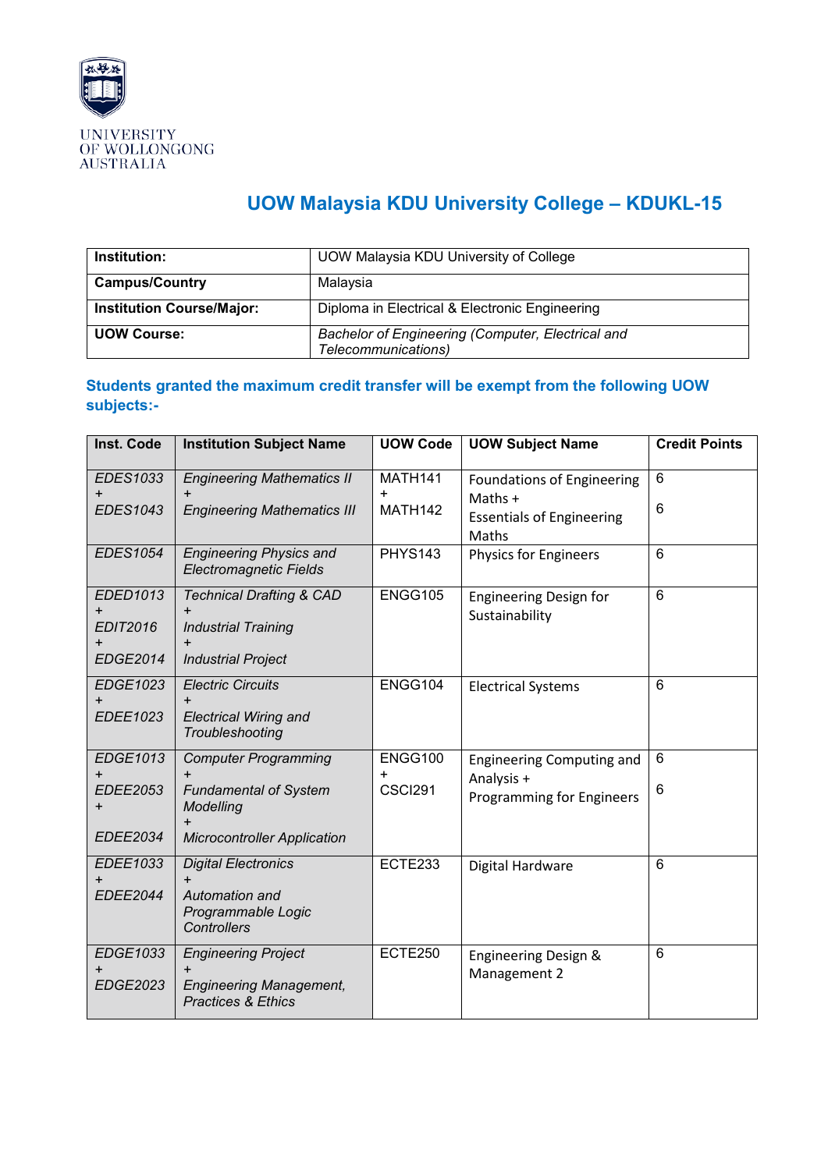

## **UOW Malaysia KDU University College – KDUKL-15**

| UOW Malaysia KDU University of College                                   |  |
|--------------------------------------------------------------------------|--|
| Malaysia                                                                 |  |
| Diploma in Electrical & Electronic Engineering                           |  |
| Bachelor of Engineering (Computer, Electrical and<br>Telecommunications) |  |
|                                                                          |  |

## **Students granted the maximum credit transfer will be exempt from the following UOW subjects:-**

| Inst. Code                                           | <b>Institution Subject Name</b>                                                                                             | <b>UOW Code</b>    | <b>UOW Subject Name</b>                                                                     | <b>Credit Points</b> |
|------------------------------------------------------|-----------------------------------------------------------------------------------------------------------------------------|--------------------|---------------------------------------------------------------------------------------------|----------------------|
| <b>EDES1033</b><br><b>EDES1043</b>                   | <b>Engineering Mathematics II</b><br>$\ddot{}$<br><b>Engineering Mathematics III</b>                                        | MATH141<br>MATH142 | <b>Foundations of Engineering</b><br>Maths $+$<br><b>Essentials of Engineering</b><br>Maths | 6<br>6               |
| <b>EDES1054</b>                                      | <b>Engineering Physics and</b><br><b>Electromagnetic Fields</b>                                                             | <b>PHYS143</b>     | <b>Physics for Engineers</b>                                                                | 6                    |
| EDED1013<br><b>EDIT2016</b><br><b>EDGE2014</b>       | <b>Technical Drafting &amp; CAD</b><br>$\ddot{}$<br><b>Industrial Training</b><br><b>Industrial Project</b>                 | ENGG105            | <b>Engineering Design for</b><br>Sustainability                                             | 6                    |
| EDGE1023<br>EDEE1023                                 | <b>Electric Circuits</b><br>$\ddot{}$<br><b>Electrical Wiring and</b><br>Troubleshooting                                    | ENGG104            | <b>Electrical Systems</b>                                                                   | $6\phantom{1}$       |
| EDGE1013<br><b>EDEE2053</b><br>$\ddot{}$<br>EDEE2034 | <b>Computer Programming</b><br><b>Fundamental of System</b><br>Modelling<br>$\ddot{}$<br><b>Microcontroller Application</b> | ENGG100<br>CSCI291 | <b>Engineering Computing and</b><br>Analysis +<br>Programming for Engineers                 | 6<br>6               |
| EDEE1033<br><b>EDEE2044</b>                          | <b>Digital Electronics</b><br>Automation and<br>Programmable Logic<br><b>Controllers</b>                                    | ECTE233            | Digital Hardware                                                                            | 6                    |
| EDGE1033<br>EDGE2023                                 | <b>Engineering Project</b><br>$\ddot{}$<br><b>Engineering Management,</b><br><b>Practices &amp; Ethics</b>                  | ECTE250            | Engineering Design &<br>Management 2                                                        | $6\phantom{1}$       |